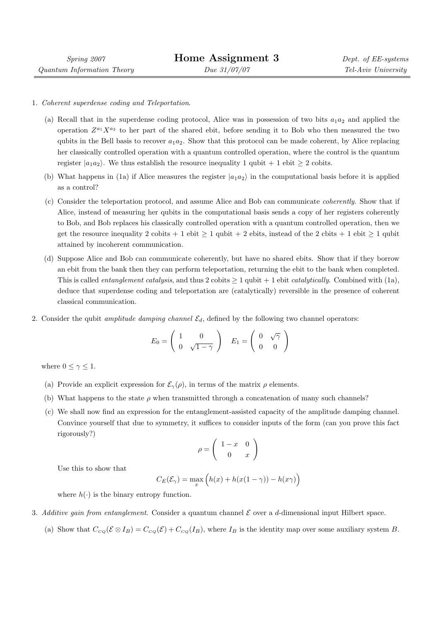1. Coherent superdense coding and Teleportation.

Spring 2007 Quantum Information Theory

- (a) Recall that in the superdense coding protocol, Alice was in possession of two bits  $a_1a_2$  and applied the operation  $Z^{a_1}X^{a_2}$  to her part of the shared ebit, before sending it to Bob who then measured the two qubits in the Bell basis to recover  $a_1a_2$ . Show that this protocol can be made coherent, by Alice replacing her classically controlled operation with a quantum controlled operation, where the control is the quantum register  $|a_1a_2\rangle$ . We thus establish the resource inequality 1 qubit + 1 ebit  $\geq 2$  cobits.
- (b) What happens in (1a) if Alice measures the register  $|a_1a_2\rangle$  in the computational basis before it is applied as a control?
- (c) Consider the teleportation protocol, and assume Alice and Bob can communicate coherently. Show that if Alice, instead of measuring her qubits in the computational basis sends a copy of her registers coherently to Bob, and Bob replaces his classically controlled operation with a quantum controlled operation, then we get the resource inequality 2 cobits + 1 ebit  $\geq 1$  qubit + 2 ebits, instead of the 2 cbits + 1 ebit  $\geq 1$  qubit attained by incoherent communication.
- (d) Suppose Alice and Bob can communicate coherently, but have no shared ebits. Show that if they borrow an ebit from the bank then they can perform teleportation, returning the ebit to the bank when completed. This is called *entanglement catalysis*, and thus  $2$  cobits  $\geq 1$  qubit + 1 ebit *catalytically*. Combined with (1a), deduce that superdense coding and teleportation are (catalytically) reversible in the presence of coherent classical communication.
- 2. Consider the qubit *amplitude damping channel*  $\mathcal{E}_d$ , defined by the following two channel operators:

$$
E_0 = \left(\begin{array}{cc} 1 & 0 \\ 0 & \sqrt{1-\gamma} \end{array}\right) \quad E_1 = \left(\begin{array}{cc} 0 & \sqrt{\gamma} \\ 0 & 0 \end{array}\right)
$$

where  $0 \leq \gamma \leq 1$ .

- (a) Provide an explicit expression for  $\mathcal{E}_{\gamma}(\rho)$ , in terms of the matrix  $\rho$  elements.
- (b) What happens to the state  $\rho$  when transmitted through a concatenation of many such channels?
- (c) We shall now find an expression for the entanglement-assisted capacity of the amplitude damping channel. Convince yourself that due to symmetry, it suffices to consider inputs of the form (can you prove this fact rigorously?)  $\overline{a}$ !<br>!

$$
\rho = \left(\begin{array}{cc} 1-x & 0\\ 0 & x \end{array}\right)
$$

Use this to show that

$$
C_E(\mathcal{E}_{\gamma}) = \max_{x} \left( h(x) + h(x(1 - \gamma)) - h(x\gamma) \right)
$$

where  $h(\cdot)$  is the binary entropy function.

- 3. Additive gain from entanglement. Consider a quantum channel  $\mathcal E$  over a d-dimensional input Hilbert space.
	- (a) Show that  $C_{CQ}(\mathcal{E} \otimes I_B) = C_{CQ}(\mathcal{E}) + C_{CQ}(I_B)$ , where  $I_B$  is the identity map over some auxiliary system B.